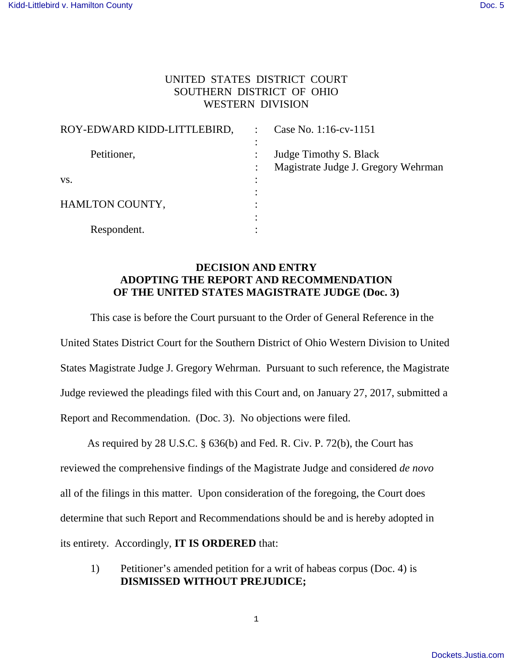## UNITED STATES DISTRICT COURT SOUTHERN DISTRICT OF OHIO WESTERN DIVISION

| ROY-EDWARD KIDD-LITTLEBIRD, | Case No. 1:16-cv-1151                                         |
|-----------------------------|---------------------------------------------------------------|
| Petitioner,                 | Judge Timothy S. Black<br>Magistrate Judge J. Gregory Wehrman |
| VS.                         |                                                               |
| HAMLTON COUNTY,             |                                                               |
| Respondent.                 |                                                               |

## **DECISION AND ENTRY ADOPTING THE REPORT AND RECOMMENDATION OF THE UNITED STATES MAGISTRATE JUDGE (Doc. 3)**

This case is before the Court pursuant to the Order of General Reference in the United States District Court for the Southern District of Ohio Western Division to United States Magistrate Judge J. Gregory Wehrman. Pursuant to such reference, the Magistrate Judge reviewed the pleadings filed with this Court and, on January 27, 2017, submitted a Report and Recommendation. (Doc. 3). No objections were filed.

 As required by 28 U.S.C. § 636(b) and Fed. R. Civ. P. 72(b), the Court has reviewed the comprehensive findings of the Magistrate Judge and considered *de novo*  all of the filings in this matter. Upon consideration of the foregoing, the Court does determine that such Report and Recommendations should be and is hereby adopted in its entirety. Accordingly, **IT IS ORDERED** that:

 1) Petitioner's amended petition for a writ of habeas corpus (Doc. 4) is **DISMISSED WITHOUT PREJUDICE;**